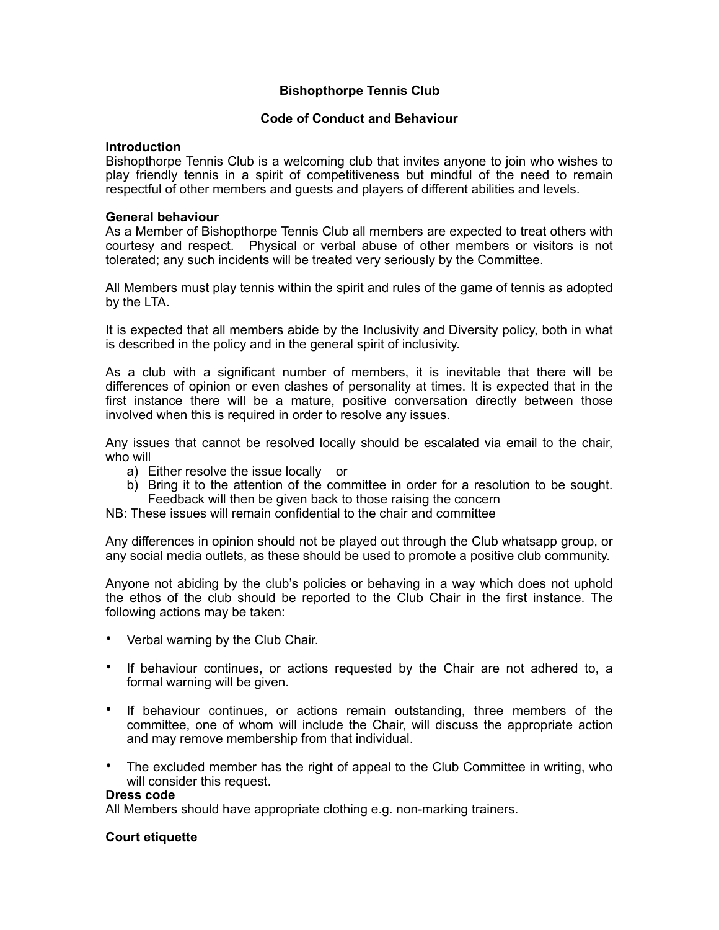# **Bishopthorpe Tennis Club**

## **Code of Conduct and Behaviour**

## **Introduction**

Bishopthorpe Tennis Club is a welcoming club that invites anyone to join who wishes to play friendly tennis in a spirit of competitiveness but mindful of the need to remain respectful of other members and guests and players of different abilities and levels.

#### **General behaviour**

As a Member of Bishopthorpe Tennis Club all members are expected to treat others with courtesy and respect. Physical or verbal abuse of other members or visitors is not tolerated; any such incidents will be treated very seriously by the Committee.

All Members must play tennis within the spirit and rules of the game of tennis as adopted by the LTA.

It is expected that all members abide by the Inclusivity and Diversity policy, both in what is described in the policy and in the general spirit of inclusivity.

As a club with a significant number of members, it is inevitable that there will be differences of opinion or even clashes of personality at times. It is expected that in the first instance there will be a mature, positive conversation directly between those involved when this is required in order to resolve any issues.

Any issues that cannot be resolved locally should be escalated via email to the chair, who will

- a) Either resolve the issue locally or
- b) Bring it to the attention of the committee in order for a resolution to be sought. Feedback will then be given back to those raising the concern
- NB: These issues will remain confidential to the chair and committee

Any differences in opinion should not be played out through the Club whatsapp group, or any social media outlets, as these should be used to promote a positive club community.

Anyone not abiding by the club's policies or behaving in a way which does not uphold the ethos of the club should be reported to the Club Chair in the first instance. The following actions may be taken:

- Verbal warning by the Club Chair.
- If behaviour continues, or actions requested by the Chair are not adhered to, a formal warning will be given.
- If behaviour continues, or actions remain outstanding, three members of the committee, one of whom will include the Chair, will discuss the appropriate action and may remove membership from that individual.
- The excluded member has the right of appeal to the Club Committee in writing, who will consider this request.

#### **Dress code**

All Members should have appropriate clothing e.g. non-marking trainers.

## **Court etiquette**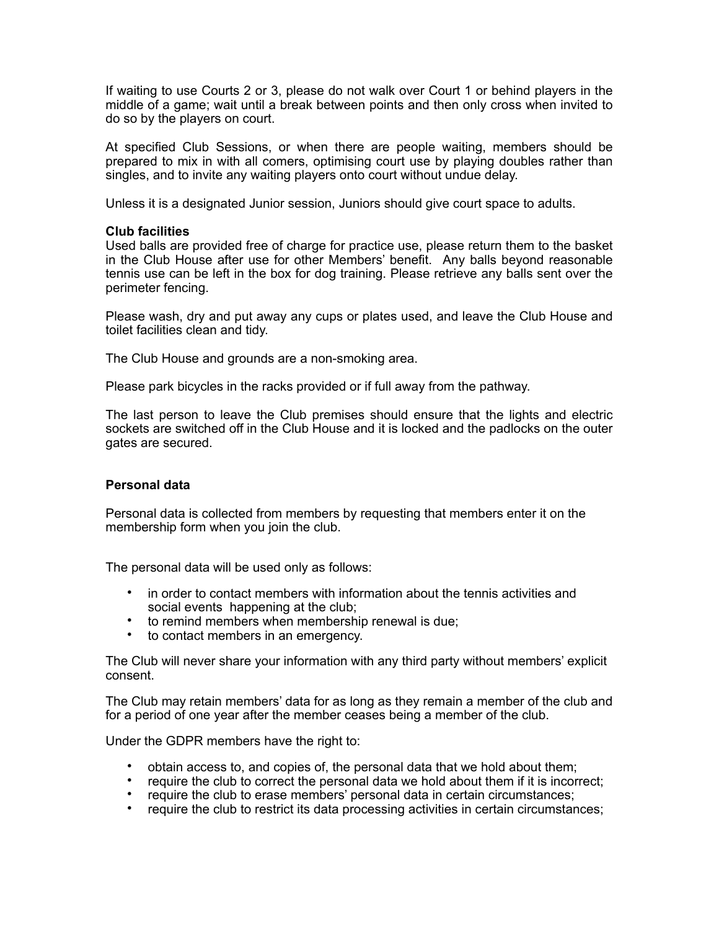If waiting to use Courts 2 or 3, please do not walk over Court 1 or behind players in the middle of a game; wait until a break between points and then only cross when invited to do so by the players on court.

At specified Club Sessions, or when there are people waiting, members should be prepared to mix in with all comers, optimising court use by playing doubles rather than singles, and to invite any waiting players onto court without undue delay.

Unless it is a designated Junior session, Juniors should give court space to adults.

## **Club facilities**

Used balls are provided free of charge for practice use, please return them to the basket in the Club House after use for other Members' benefit. Any balls beyond reasonable tennis use can be left in the box for dog training. Please retrieve any balls sent over the perimeter fencing.

Please wash, dry and put away any cups or plates used, and leave the Club House and toilet facilities clean and tidy.

The Club House and grounds are a non-smoking area.

Please park bicycles in the racks provided or if full away from the pathway.

The last person to leave the Club premises should ensure that the lights and electric sockets are switched off in the Club House and it is locked and the padlocks on the outer gates are secured.

## **Personal data**

Personal data is collected from members by requesting that members enter it on the membership form when you join the club.

The personal data will be used only as follows:

- in order to contact members with information about the tennis activities and social events happening at the club;
- to remind members when membership renewal is due;
- to contact members in an emergency.

The Club will never share your information with any third party without members' explicit consent.

The Club may retain members' data for as long as they remain a member of the club and for a period of one year after the member ceases being a member of the club.

Under the GDPR members have the right to:

- obtain access to, and copies of, the personal data that we hold about them;
- require the club to correct the personal data we hold about them if it is incorrect;
- require the club to erase members' personal data in certain circumstances;
- require the club to restrict its data processing activities in certain circumstances;